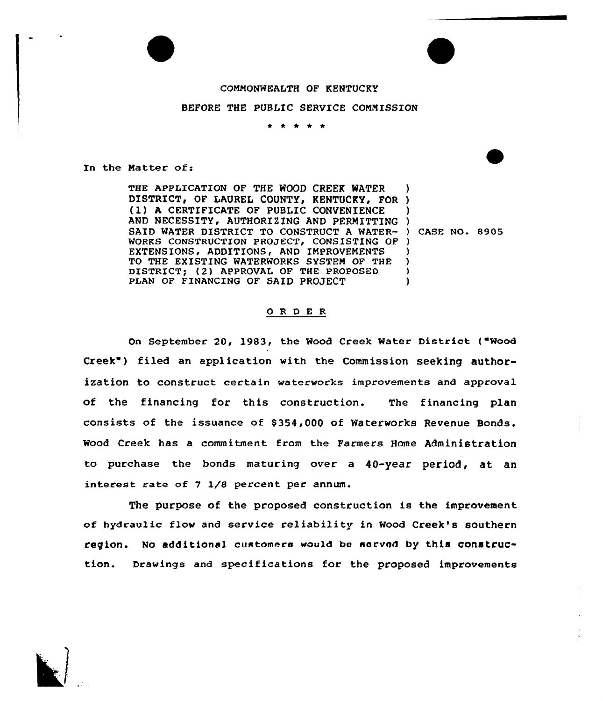# COMMONWEALTH OF KENTUCKY

# BEFORE THE PUBLIC SERVICE COMMISSION

. **.** . . .

In the Matter of:

THE APPLICATION OF THE WOOD CREEK WATER DISTRICT, OF LAUREL COUNTY, KENTUCKY, FOR (1) <sup>A</sup> CERTIFICATE OF PUBLIC CONVENIENCE AND NECESSITY, AUTHORIZING AND PERMITTING SAID WATER DISTRICT TO CONSTRUCT A WATER- ) CASE NO. 8905 WORKS CONSTRUCTION PROJECT, CONSISTING OF ) EXTENSIONS, ADDITIONS, AND IMPROVEMENTS TO THE EXISTING WATERWORKS SYSTEM OF THE DISTRICT; (2) APPROVAL OF THE PROPOSED PLAN OF FINANCING OF SAID PROJECT ) ) ) ) ) ) ) )

# 0 R <sup>D</sup> E <sup>R</sup>

On September 20, 1983, the Wood Creek Water District ("Wood Creek") filed an application with the Commission seeking authorization to construct certain waterworks improvements and approval of the financing for this construction. The financing plan consists of the issuance of \$ 354,000 of Waterworks Revenue Bonds. Wood Creek has a commitment from the Farmers Home Administration to purchase the bonds maturing over a 40-year period, at an interest rate of  $7$   $1/8$  percent per annum.

The purpose of the proposed construction is the improvement of hydraulic flow and service reliability in Wood Creek's southern region. No additional customers would be served by this construction. Drawings and specifications for the proposed improvements

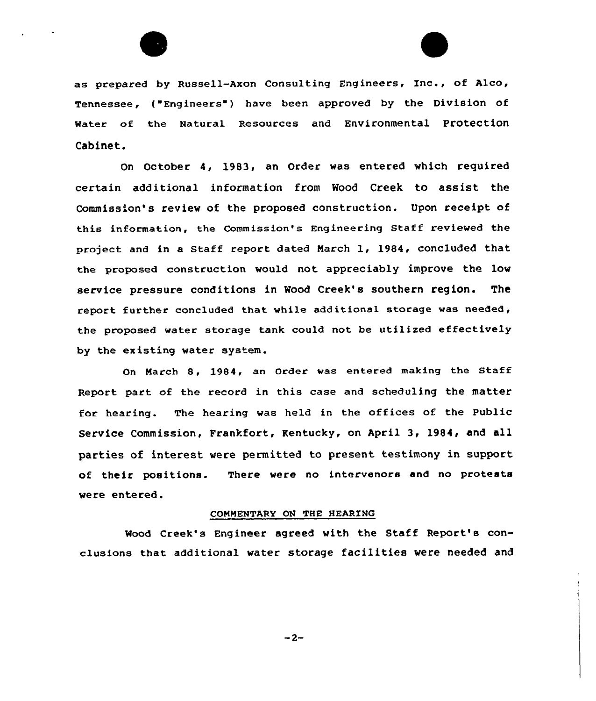

as prepared by Russell-Axon Consulting Engineers, Inc., of Alco, Tennessee, ("Engineers") have been approved by the Division of Water of the Natural Resources and Environmental protection Cabinet.

On October 4, 1983, an Order was entered which required certain additional information from Wood Creek to assist the Commission's review of the proposed construction. Upon receipt of this information, the Commission's Engineering Staff reviewed the project and in a Staff report dated March 1, 1984, concluded that the proposed construction would not. appreciably improve the low service pressure conditions in Wood Creek's southern region. The report further concluded that while additional storage was needed, the proposed water storage tank could not be utilized effectively by the existing water system.

On March 8, 1984, an Order was entered making the Staff Report part of the record in this case and scheduling the matter for hearing. The hearing was held in the offices of the Public Service Commission, Frankfort, Kentucky, on April 3, 1984, and all parties of interest were permitted to present testimony in support of their positions. There were no intervenors and no protests were entered.

# COMMENTARY ON THE HEARING

Wood Creek's Engineer agreed with the Staff Report's conclusions that additional water storage facilities vere needed and

 $-2-$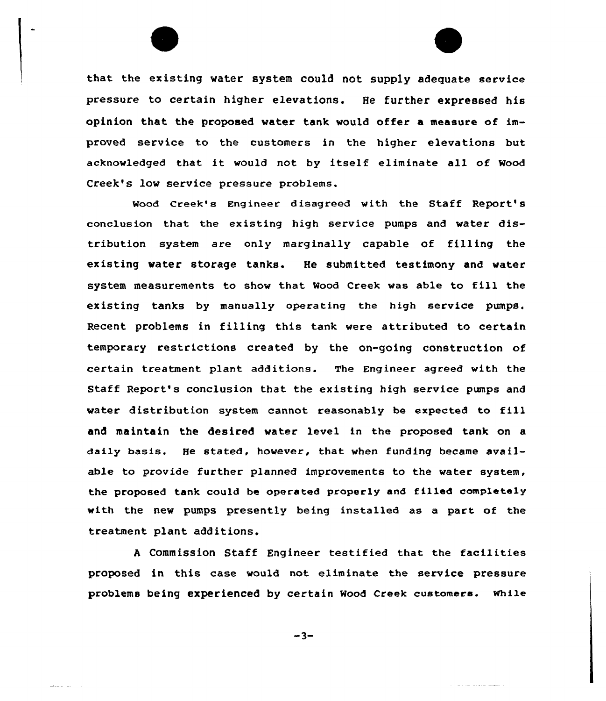

Wood Creek's Engineer disagreed with the Staff Report's conclusion that the existing high service pumps and water distribution system are only marginally capable of filling the existing water storage tanks. He submitted testimony and water system measurements to show that Mood Creek was able to fill the existing tanks by manually operating the high service pumps. Recent problems in filling this tank were attributed to certain temporary restrictions created by the on-going construction of certain treatment plant additions. The Engineer agreed with the Staff Report's conclusion that the existing high service pumps and water distribution system cannot reasonably be expected to fill and maintain the desired water level in the proposed tank on a daily basis. He stated, however, that when funding became available to provide further planned improvements to the water system, the proposed tank could be operated properly and filled completely with the new pumps presently being installed as a part of the treatment plant additions.

<sup>A</sup> Commission Staff Engineer testified that the facilities proposed in this case would not eliminate the service pressure problems being experienced by certain Mood creek customers. while

 $-3-$ 

المستواط والمحافظ المرادات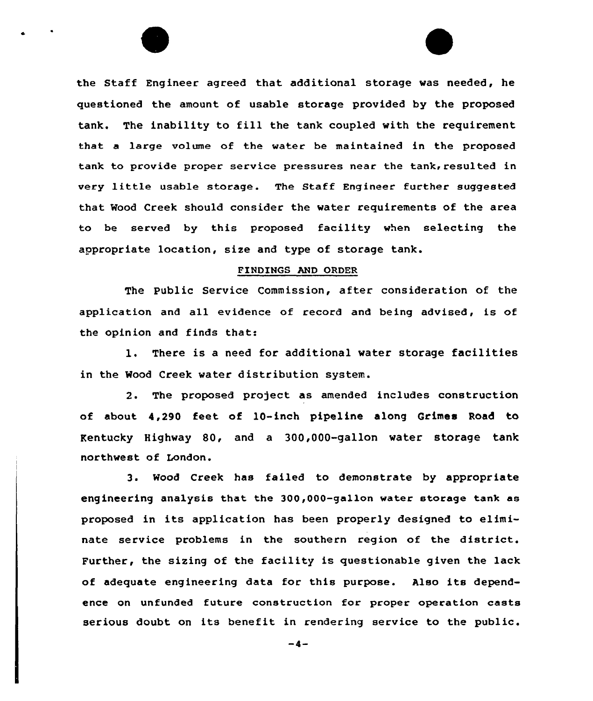the Staff Engineer agreed that additional storage was needed, he questioned the amount of usable storage provided by the proposed tank. The inability to fill the tank coupled with the requirement that a large volume of the water be maintained in the proposed tank to provide proper service pressures near the tank, resulted in very little usable storage. The Staff Engineer further suggested that Wood Creek should consider the water requirements of the area to be served by this proposed facility when selecting the appropriate location, size and type of storage tank.

#### FINDINGS AND ORDER

The public Service Commission, after consideration of the application and all evidence of record and being advised, is of the opinion and finds that:

1. There is <sup>a</sup> need for additional water storage facilities in the Wood Creek water distribution system.

2. The proposed project as amended includes construction of about 4,290 feet of l0-inch pipeline along Grimes Road to Kentucky Highway 80, and a 300,000-gallon water storage tank northwest of London.

<sup>3</sup> <sup>~</sup> Wood Creek has failed to demonstrate by appropriate engineering analysis that, the 300,000-gallon water storage tank as proposed in its application has been properly designed to eliminate service problems in the southern region of the district. Further, the sizing of the facility is questionable given the lack of adequate engineering data for this purpose. Also its dependence on unfunded future construction for proper operation casts serious doubt on its benefit in rendering service to the public.

 $-4-$